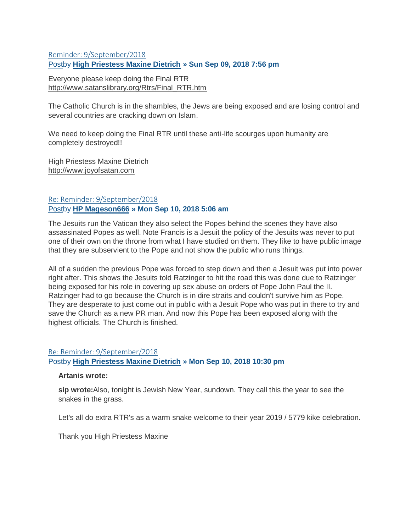## [Reminder: 9/September/2018](https://www.ancient-forums.com/viewtopic.php?f=24&t=12484#p43888) [Postb](https://www.ancient-forums.com/viewtopic.php?p=43888#p43888)y **[High Priestess Maxine Dietrich](https://www.ancient-forums.com/memberlist.php?mode=viewprofile&u=50) » Sun Sep 09, 2018 7:56 pm**

Everyone please keep doing the Final RTR [http://www.satanslibrary.org/Rtrs/Final\\_RTR.htm](http://www.satanslibrary.org/Rtrs/Final_RTR.htm)

The Catholic Church is in the shambles, the Jews are being exposed and are losing control and several countries are cracking down on Islam.

We need to keep doing the Final RTR until these anti-life scourges upon humanity are completely destroyed!!

High Priestess Maxine Dietrich [http://www.joyofsatan.com](http://www.joyofsatan.com/)

# [Re: Reminder: 9/September/2018](https://www.ancient-forums.com/viewtopic.php?f=24&t=12484#p43927) [Postb](https://www.ancient-forums.com/viewtopic.php?p=43927#p43927)y **[HP Mageson666](https://www.ancient-forums.com/memberlist.php?mode=viewprofile&u=49) » Mon Sep 10, 2018 5:06 am**

The Jesuits run the Vatican they also select the Popes behind the scenes they have also assassinated Popes as well. Note Francis is a Jesuit the policy of the Jesuits was never to put one of their own on the throne from what I have studied on them. They like to have public image that they are subservient to the Pope and not show the public who runs things.

All of a sudden the previous Pope was forced to step down and then a Jesuit was put into power right after. This shows the Jesuits told Ratzinger to hit the road this was done due to Ratzinger being exposed for his role in covering up sex abuse on orders of Pope John Paul the II. Ratzinger had to go because the Church is in dire straits and couldn't survive him as Pope. They are desperate to just come out in public with a Jesuit Pope who was put in there to try and save the Church as a new PR man. And now this Pope has been exposed along with the highest officials. The Church is finished.

#### [Re: Reminder: 9/September/2018](https://www.ancient-forums.com/viewtopic.php?f=24&t=12484#p44017)

#### [Postb](https://www.ancient-forums.com/viewtopic.php?p=44017#p44017)y **[High Priestess Maxine Dietrich](https://www.ancient-forums.com/memberlist.php?mode=viewprofile&u=50) » Mon Sep 10, 2018 10:30 pm**

#### **Artanis wrote:**

**sip wrote:**Also, tonight is Jewish New Year, sundown. They call this the year to see the snakes in the grass.

Let's all do extra RTR's as a warm snake welcome to their year 2019 / 5779 kike celebration.

Thank you High Priestess Maxine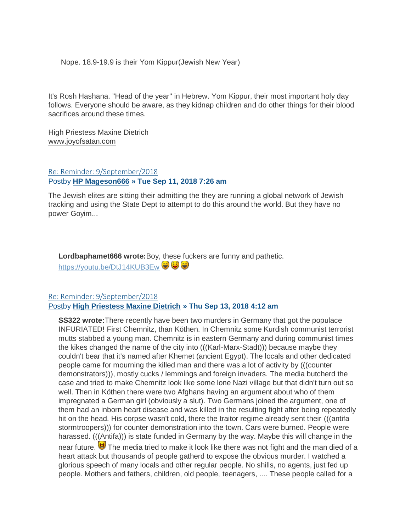Nope. 18.9-19.9 is their Yom Kippur(Jewish New Year)

It's Rosh Hashana. "Head of the year" in Hebrew. Yom Kippur, their most important holy day follows. Everyone should be aware, as they kidnap children and do other things for their blood sacrifices around these times.

High Priestess Maxine Dietrich [www.joyofsatan.com](http://www.joyofsatan.com/)

### [Re: Reminder: 9/September/2018](https://www.ancient-forums.com/viewtopic.php?f=24&t=12484#p44031) [Postb](https://www.ancient-forums.com/viewtopic.php?p=44031#p44031)y **[HP Mageson666](https://www.ancient-forums.com/memberlist.php?mode=viewprofile&u=49) » Tue Sep 11, 2018 7:26 am**

The Jewish elites are sitting their admitting the they are running a global network of Jewish tracking and using the State Dept to attempt to do this around the world. But they have no power Goyim...

**Lordbaphamet666 wrote:**Boy, these fuckers are funny and pathetic. <https://youtu.be/DtJ14KUB3Ew> ♥ ♥

### [Re: Reminder: 9/September/2018](https://www.ancient-forums.com/viewtopic.php?f=24&t=12484#p44237) [Postb](https://www.ancient-forums.com/viewtopic.php?p=44237#p44237)y **[High Priestess Maxine Dietrich](https://www.ancient-forums.com/memberlist.php?mode=viewprofile&u=50) » Thu Sep 13, 2018 4:12 am**

**SS322 wrote:**There recently have been two murders in Germany that got the populace INFURIATED! First Chemnitz, than Köthen. In Chemnitz some Kurdish communist terrorist mutts stabbed a young man. Chemnitz is in eastern Germany and during communist times the kikes changed the name of the city into (((Karl-Marx-Stadt))) because maybe they couldn't bear that it's named after Khemet (ancient Egypt). The locals and other dedicated people came for mourning the killed man and there was a lot of activity by (((counter demonstrators))), mostly cucks / lemmings and foreign invaders. The media butcherd the case and tried to make Chemnitz look like some lone Nazi village but that didn't turn out so well. Then in Köthen there were two Afghans having an argument about who of them impregnated a German girl (obviously a slut). Two Germans joined the argument, one of them had an inborn heart disease and was killed in the resulting fight after being repeatedly hit on the head. His corpse wasn't cold, there the traitor regime already sent their (((antifa stormtroopers))) for counter demonstration into the town. Cars were burned. People were harassed. (((Antifa))) is state funded in Germany by the way. Maybe this will change in the near future.  $\bigcirc$  The media tried to make it look like there was not fight and the man died of a heart attack but thousands of people gatherd to expose the obvious murder. I watched a glorious speech of many locals and other regular people. No shills, no agents, just fed up people. Mothers and fathers, children, old people, teenagers, .... These people called for a